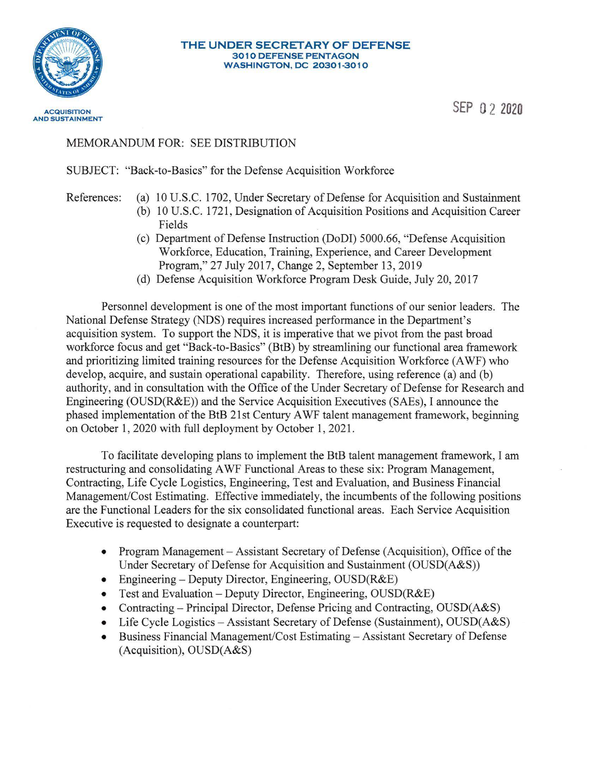

## **THE UNDER SECRETARY OF DEFENSE 301 0 DEFENSE PENTAGON WASHINGTON, DC 20301-3010**

SEP O 2 **2020** 

## MEMORANDUM FOR: SEE DISTRIBUTION

SUBJECT: "Back-to-Basics" for the Defense Acquisition Workforce

- References: (a) 10 U.S.C. 1702, Under Secretary of Defense for Acquisition and Sustainment (b) 10 U.S.C. 1721, Designation of Acquisition Positions and Acquisition Career
	- Fields
	- (c) Department of Defense Instruction (DoDI) 5000.66, "Defense Acquisition Workforce, Education, Training, Experience, and Career Development Program," 27 July 2017, Change 2, September 13, 2019
	- (d) Defense Acquisition Workforce Program Desk Guide, July 20, 2017

Personnel development is one of the most important functions of our senior leaders. The National Defense Strategy (NDS) requires increased performance in the Department's acquisition system. To support the NDS, it is imperative that we pivot from the past broad workforce focus and get "Back-to-Basics" (BtB) by streamlining our functional area framework and prioritizing limited training resources for the Defense Acquisition Workforce (A WF) who develop, acquire, and sustain operational capability. Therefore, using reference (a) and (b) authority, and in consultation with the Office of the Under Secretary of Defense for Research and Engineering (OUSD(R&E)) and the Service Acquisition Executives (SAEs), I announce the phased implementation of the BtB 21st Century A WF talent management framework, beginning on October 1, 2020 with full deployment by October 1, 2021.

To facilitate developing plans to implement the BtB talent management framework, I am restructuring and consolidating A WF Functional Areas to these six: Program Management, Contracting, Life Cycle Logistics, Engineering, Test and Evaluation, and Business Financial Management/Cost Estimating. Effective immediately, the incumbents of the following positions are the Functional Leaders for the six consolidated functional areas. Each Service Acquisition Executive is requested to designate a counterpart:

- Program Management Assistant Secretary of Defense (Acquisition), Office of the Under Secretary of Defense for Acquisition and Sustainment (OUSD(A&S))
- Engineering Deputy Director, Engineering, OUSD(R&E)
- Test and Evaluation- Deputy Director, Engineering, OUSD(R&E)
- Contracting Principal Director, Defense Pricing and Contracting, OUSD(A&S)
- Life Cycle Logistics Assistant Secretary of Defense (Sustainment), OUSD(A&S)
- Business Financial Management/Cost Estimating Assistant Secretary of Defense (Acquisition), OUSD(A&S)